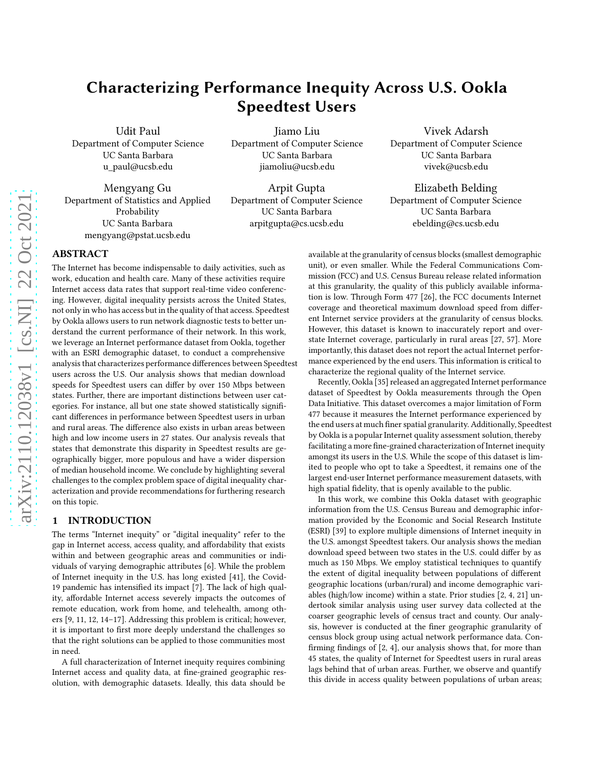# Characterizing Performance Inequity Across U.S. Ookla Speedtest Users

Udit Paul Department of Computer Science UC Santa Barbara u\_paul@ucsb.edu

Mengyang Gu Department of Statistics and Applied Probability UC Santa Barbara mengyang@pstat.ucsb.edu

Jiamo Liu Department of Computer Science UC Santa Barbara jiamoliu@ucsb.edu

Arpit Gupta Department of Computer Science UC Santa Barbara arpitgupta@cs.ucsb.edu

Vivek Adarsh Department of Computer Science UC Santa Barbara vivek@ucsb.edu

Elizabeth Belding Department of Computer Science UC Santa Barbara ebelding@cs.ucsb.edu

## ABSTRACT

The Internet has become indispensable to daily activities, such as work, education and health care. Many of these activities require Internet access data rates that support real-time video conferencing. However, digital inequality persists across the United States, not only in who has access but in the quality of that access. Speedtest by Ookla allows users to run network diagnostic tests to better understand the current performance of their network. In this work, we leverage an Internet performance dataset from Ookla, together with an ESRI demographic dataset, to conduct a comprehensive analysis that characterizes performance differences between Speedtest users across the U.S. Our analysis shows that median download speeds for Speedtest users can differ by over 150 Mbps between states. Further, there are important distinctions between user categories. For instance, all but one state showed statistically significant differences in performance between Speedtest users in urban and rural areas. The difference also exists in urban areas between high and low income users in 27 states. Our analysis reveals that states that demonstrate this disparity in Speedtest results are geographically bigger, more populous and have a wider dispersion of median household income. We conclude by highlighting several challenges to the complex problem space of digital inequality characterization and provide recommendations for furthering research on this topic.

## 1 INTRODUCTION

The terms "Internet inequity" or "digital inequality" refer to the gap in Internet access, access quality, and affordability that exists within and between geographic areas and communities or individuals of varying demographic attributes [\[6\]](#page-8-0). While the problem of Internet inequity in the U.S. has long existed [\[41\]](#page-8-1), the Covid-19 pandemic has intensified its impact [\[7](#page-8-2)]. The lack of high quality, affordable Internet access severely impacts the outcomes of remote education, work from home, and telehealth, among others [\[9](#page-8-3), [11,](#page-8-4) [12](#page-8-5), [14](#page-8-6)[–17](#page-8-7)]. Addressing this problem is critical; however, it is important to first more deeply understand the challenges so that the right solutions can be applied to those communities most in need.

A full characterization of Internet inequity requires combining Internet access and quality data, at fine-grained geographic resolution, with demographic datasets. Ideally, this data should be

available at the granularity of census blocks (smallest demographic unit), or even smaller. While the Federal Communications Commission (FCC) and U.S. Census Bureau release related information at this granularity, the quality of this publicly available information is low. Through Form 477 [\[26](#page-8-8)], the FCC documents Internet coverage and theoretical maximum download speed from different Internet service providers at the granularity of census blocks. However, this dataset is known to inaccurately report and overstate Internet coverage, particularly in rural areas [\[27,](#page-8-9) [57\]](#page-9-0). More importantly, this dataset does not report the actual Internet performance experienced by the end users. This information is critical to characterize the regional quality of the Internet service.

Recently, Ookla [\[35\]](#page-8-10) released an aggregated Internet performance dataset of Speedtest by Ookla measurements through the Open Data Initiative. This dataset overcomes a major limitation of Form 477 because it measures the Internet performance experienced by the end users at much finer spatial granularity. Additionally, Speedtest by Ookla is a popular Internet quality assessment solution, thereby facilitating a more fine-grained characterization of Internet inequity amongst its users in the U.S. While the scope of this dataset is limited to people who opt to take a Speedtest, it remains one of the largest end-user Internet performance measurement datasets, with high spatial fidelity, that is openly available to the public.

In this work, we combine this Ookla dataset with geographic information from the U.S. Census Bureau and demographic information provided by the Economic and Social Research Institute (ESRI) [\[39](#page-8-11)] to explore multiple dimensions of Internet inequity in the U.S. amongst Speedtest takers. Our analysis shows the median download speed between two states in the U.S. could differ by as much as 150 Mbps. We employ statistical techniques to quantify the extent of digital inequality between populations of different geographic locations (urban/rural) and income demographic variables (high/low income) within a state. Prior studies [\[2,](#page-8-12) [4,](#page-8-13) [21](#page-8-14)] undertook similar analysis using user survey data collected at the coarser geographic levels of census tract and county. Our analysis, however is conducted at the finer geographic granularity of census block group using actual network performance data. Confirming findings of [\[2,](#page-8-12) [4](#page-8-13)], our analysis shows that, for more than 45 states, the quality of Internet for Speedtest users in rural areas lags behind that of urban areas. Further, we observe and quantify this divide in access quality between populations of urban areas;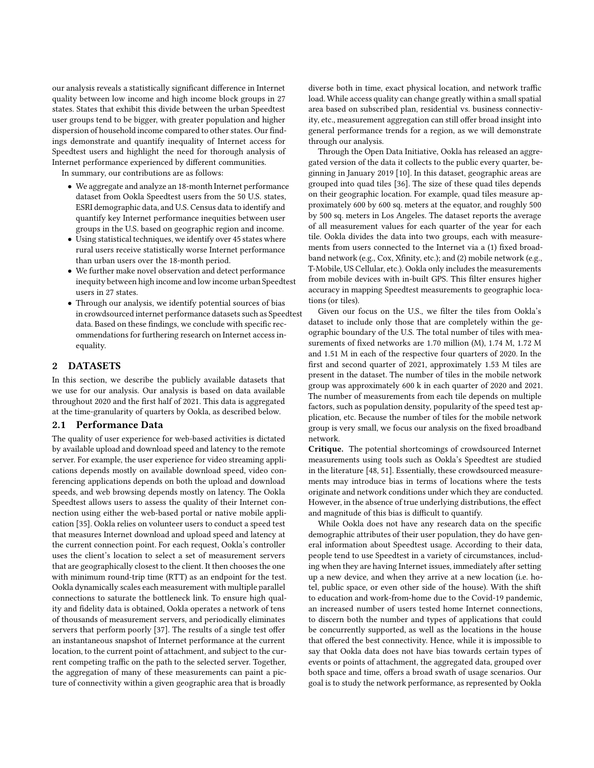our analysis reveals a statistically significant difference in Internet quality between low income and high income block groups in 27 states. States that exhibit this divide between the urban Speedtest user groups tend to be bigger, with greater population and higher dispersion of household income compared to other states. Our findings demonstrate and quantify inequality of Internet access for Speedtest users and highlight the need for thorough analysis of Internet performance experienced by different communities.

In summary, our contributions are as follows:

- We aggregate and analyze an 18-month Internet performance dataset from Ookla Speedtest users from the 50 U.S. states, ESRI demographic data, and U.S. Census data to identify and quantify key Internet performance inequities between user groups in the U.S. based on geographic region and income.
- Using statistical techniques, we identify over 45 states where rural users receive statistically worse Internet performance than urban users over the 18-month period.
- We further make novel observation and detect performance inequity between high income and low income urban Speedtest users in 27 states.
- Through our analysis, we identify potential sources of bias in crowdsourced internet performance datasets such as Speedtest data. Based on these findings, we conclude with specific recommendations for furthering research on Internet access inequality.

## <span id="page-1-0"></span>2 DATASETS

In this section, we describe the publicly available datasets that we use for our analysis. Our analysis is based on data available throughout 2020 and the first half of 2021. This data is aggregated at the time-granularity of quarters by Ookla, as described below.

#### 2.1 Performance Data

The quality of user experience for web-based activities is dictated by available upload and download speed and latency to the remote server. For example, the user experience for video streaming applications depends mostly on available download speed, video conferencing applications depends on both the upload and download speeds, and web browsing depends mostly on latency. The Ookla Speedtest allows users to assess the quality of their Internet connection using either the web-based portal or native mobile application [\[35\]](#page-8-10). Ookla relies on volunteer users to conduct a speed test that measures Internet download and upload speed and latency at the current connection point. For each request, Ookla's controller uses the client's location to select a set of measurement servers that are geographically closest to the client. It then chooses the one with minimum round-trip time (RTT) as an endpoint for the test. Ookla dynamically scales each measurement with multiple parallel connections to saturate the bottleneck link. To ensure high quality and fidelity data is obtained, Ookla operates a network of tens of thousands of measurement servers, and periodically eliminates servers that perform poorly [\[37\]](#page-8-15). The results of a single test offer an instantaneous snapshot of Internet performance at the current location, to the current point of attachment, and subject to the current competing traffic on the path to the selected server. Together, the aggregation of many of these measurements can paint a picture of connectivity within a given geographic area that is broadly

diverse both in time, exact physical location, and network traffic load. While access quality can change greatly within a small spatial area based on subscribed plan, residential vs. business connectivity, etc., measurement aggregation can still offer broad insight into general performance trends for a region, as we will demonstrate through our analysis.

Through the Open Data Initiative, Ookla has released an aggregated version of the data it collects to the public every quarter, beginning in January 2019 [\[10\]](#page-8-16). In this dataset, geographic areas are grouped into quad tiles [\[36\]](#page-8-17). The size of these quad tiles depends on their geographic location. For example, quad tiles measure approximately 600 by 600 sq. meters at the equator, and roughly 500 by 500 sq. meters in Los Angeles. The dataset reports the average of all measurement values for each quarter of the year for each tile. Ookla divides the data into two groups, each with measurements from users connected to the Internet via a (1) fixed broadband network (e.g., Cox, Xfinity, etc.); and (2) mobile network (e.g., T-Mobile, US Cellular, etc.). Ookla only includes the measurements from mobile devices with in-built GPS. This filter ensures higher accuracy in mapping Speedtest measurements to geographic locations (or tiles).

Given our focus on the U.S., we filter the tiles from Ookla's dataset to include only those that are completely within the geographic boundary of the U.S. The total number of tiles with measurements of fixed networks are 1.70 million (M), 1.74 M, 1.72 M and 1.51 M in each of the respective four quarters of 2020. In the first and second quarter of 2021, approximately 1.53 M tiles are present in the dataset. The number of tiles in the mobile network group was approximately 600 k in each quarter of 2020 and 2021. The number of measurements from each tile depends on multiple factors, such as population density, popularity of the speed test application, etc. Because the number of tiles for the mobile network group is very small, we focus our analysis on the fixed broadband network.

Critique. The potential shortcomings of crowdsourced Internet measurements using tools such as Ookla's Speedtest are studied in the literature [\[48,](#page-9-1) [51](#page-9-2)]. Essentially, these crowdsourced measurements may introduce bias in terms of locations where the tests originate and network conditions under which they are conducted. However, in the absence of true underlying distributions, the effect and magnitude of this bias is difficult to quantify.

While Ookla does not have any research data on the specific demographic attributes of their user population, they do have general information about Speedtest usage. According to their data, people tend to use Speedtest in a variety of circumstances, including when they are having Internet issues, immediately after setting up a new device, and when they arrive at a new location (i.e. hotel, public space, or even other side of the house). With the shift to education and work-from-home due to the Covid-19 pandemic, an increased number of users tested home Internet connections, to discern both the number and types of applications that could be concurrently supported, as well as the locations in the house that offered the best connectivity. Hence, while it is impossible to say that Ookla data does not have bias towards certain types of events or points of attachment, the aggregated data, grouped over both space and time, offers a broad swath of usage scenarios. Our goal is to study the network performance, as represented by Ookla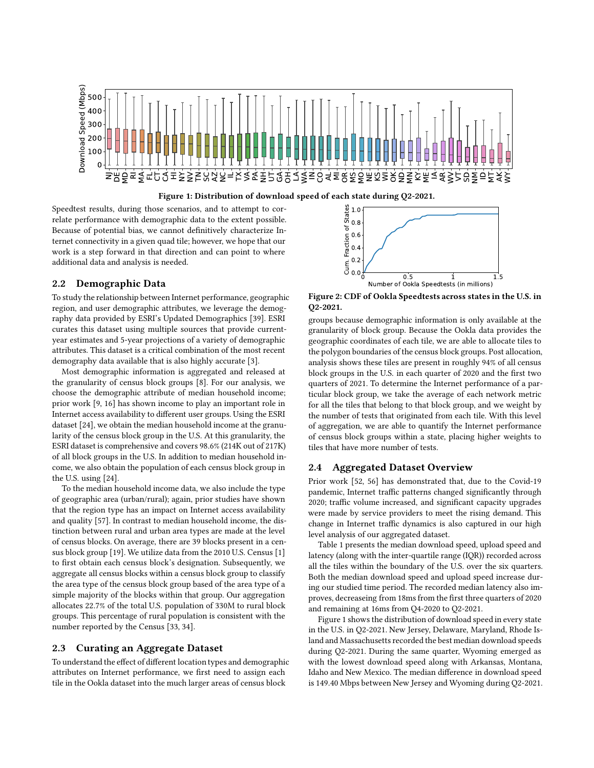<span id="page-2-0"></span>



Speedtest results, during those scenarios, and to attempt to correlate performance with demographic data to the extent possible. Because of potential bias, we cannot definitively characterize Internet connectivity in a given quad tile; however, we hope that our work is a step forward in that direction and can point to where additional data and analysis is needed.

## 2.2 Demographic Data

To study the relationship between Internet performance, geographic region, and user demographic attributes, we leverage the demography data provided by ESRI's Updated Demographics [\[39](#page-8-11)]. ESRI curates this dataset using multiple sources that provide currentyear estimates and 5-year projections of a variety of demographic attributes. This dataset is a critical combination of the most recent demography data available that is also highly accurate [\[3\]](#page-8-18).

Most demographic information is aggregated and released at the granularity of census block groups [\[8\]](#page-8-19). For our analysis, we choose the demographic attribute of median household income; prior work [\[9](#page-8-3), [16\]](#page-8-20) has shown income to play an important role in Internet access availability to different user groups. Using the ESRI dataset [\[24](#page-8-21)], we obtain the median household income at the granularity of the census block group in the U.S. At this granularity, the ESRI dataset is comprehensive and covers 98.6% (214K out of 217K) of all block groups in the U.S. In addition to median household income, we also obtain the population of each census block group in the U.S. using [\[24\]](#page-8-21).

To the median household income data, we also include the type of geographic area (urban/rural); again, prior studies have shown that the region type has an impact on Internet access availability and quality [\[57\]](#page-9-0). In contrast to median household income, the distinction between rural and urban area types are made at the level of census blocks. On average, there are 39 blocks present in a census block group [\[19\]](#page-8-22). We utilize data from the 2010 U.S. Census [\[1\]](#page-8-23) to first obtain each census block's designation. Subsequently, we aggregate all census blocks within a census block group to classify the area type of the census block group based of the area type of a simple majority of the blocks within that group. Our aggregation allocates 22.7% of the total U.S. population of 330M to rural block groups. This percentage of rural population is consistent with the number reported by the Census [\[33,](#page-8-24) [34](#page-8-25)].

## 2.3 Curating an Aggregate Dataset

To understand the effect of different location types and demographic attributes on Internet performance, we first need to assign each tile in the Ookla dataset into the much larger areas of census block

<span id="page-2-1"></span>

Figure 2: CDF of Ookla Speedtests across states in the U.S. in Q2-2021.

groups because demographic information is only available at the granularity of block group. Because the Ookla data provides the geographic coordinates of each tile, we are able to allocate tiles to the polygon boundaries of the census block groups. Post allocation, analysis shows these tiles are present in roughly 94% of all census block groups in the U.S. in each quarter of 2020 and the first two quarters of 2021. To determine the Internet performance of a particular block group, we take the average of each network metric for all the tiles that belong to that block group, and we weight by the number of tests that originated from each tile. With this level of aggregation, we are able to quantify the Internet performance of census block groups within a state, placing higher weights to tiles that have more number of tests.

#### 2.4 Aggregated Dataset Overview

Prior work [\[52,](#page-9-3) [56](#page-9-4)] has demonstrated that, due to the Covid-19 pandemic, Internet traffic patterns changed significantly through 2020; traffic volume increased, and significant capacity upgrades were made by service providers to meet the rising demand. This change in Internet traffic dynamics is also captured in our high level analysis of our aggregated dataset.

Table [1](#page-3-0) presents the median download speed, upload speed and latency (along with the inter-quartile range (IQR)) recorded across all the tiles within the boundary of the U.S. over the six quarters. Both the median download speed and upload speed increase during our studied time period. The recorded median latency also improves, decreaseing from 18ms from the first three quarters of 2020 and remaining at 16ms from Q4-2020 to Q2-2021.

Figure [1](#page-2-0) shows the distribution of download speed in every state in the U.S. in Q2-2021. New Jersey, Delaware, Maryland, Rhode Island and Massachusetts recorded the best median download speeds during Q2-2021. During the same quarter, Wyoming emerged as with the lowest download speed along with Arkansas, Montana, Idaho and New Mexico. The median difference in download speed is 149.40 Mbps between New Jersey and Wyoming during Q2-2021.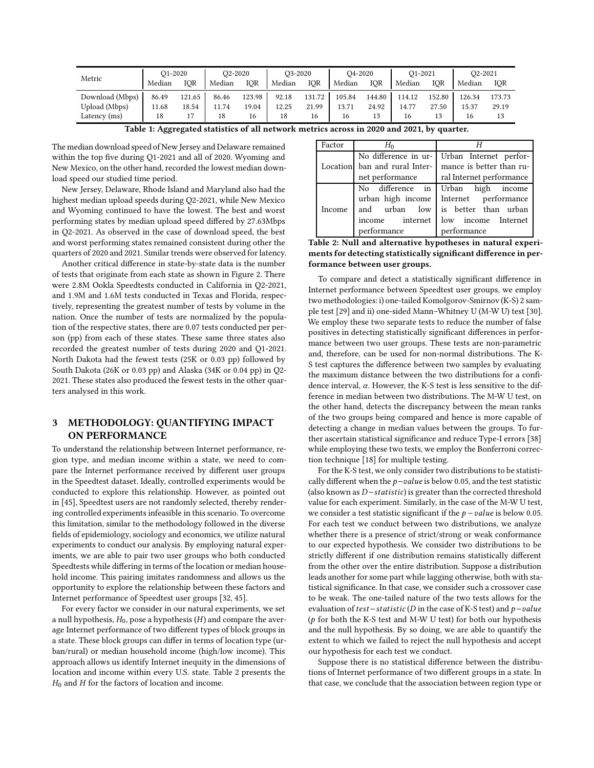<span id="page-3-0"></span>

| Metric          | O <sub>1</sub> -2020 |        | O <sub>2</sub> -20 <sub>20</sub> |        | O3-2020 |        | O <sub>4</sub> -2020 |        | O <sub>1</sub> -2021 |        | O <sub>2</sub> -2021 |        |
|-----------------|----------------------|--------|----------------------------------|--------|---------|--------|----------------------|--------|----------------------|--------|----------------------|--------|
|                 | Median               | IOR    | Median                           | IOR    | Median  | IOR    | Median               | IOR    | Median               | IOR    | Median               | IOR    |
| Download (Mbps) | 86.49                | 121.65 | 86.46                            | 123.98 | 92.18   | 131.72 | 105.84               | 144.80 | 114.12               | 152.80 | 126.34               | 173.73 |
| Upload (Mbps)   | 11.68                | 18.54  | 11.74                            | 19.04  | 12.25   | 21.99  | 13.71                | 24.92  | 14.77                | 27.50  | 15.37                | 29.19  |
| Latency (ms)    | 18                   |        | 18                               | 16     | 18      | 16     | 16                   | 13     | 16                   | 13     | 16                   |        |

| Table 1: Aggregated statistics of all network metrics across in 2020 and 2021, by quarter. |  |
|--------------------------------------------------------------------------------------------|--|
|--------------------------------------------------------------------------------------------|--|

The median download speed of New Jersey and Delaware remained within the top five during Q1-2021 and all of 2020. Wyoming and New Mexico, on the other hand, recorded the lowest median download speed our studied time period.

New Jersey, Delaware, Rhode Island and Maryland also had the highest median upload speeds during Q2-2021, while New Mexico and Wyoming continued to have the lowest. The best and worst performing states by median upload speed differed by 27.63Mbps in Q2-2021. As observed in the case of download speed, the best and worst performing states remained consistent during other the quarters of 2020 and 2021. Similar trends were observed for latency.

Another critical difference in state-by-state data is the number of tests that originate from each state as shown in Figure [2.](#page-2-1) There were 2.8M Ookla Speedtests conducted in California in Q2-2021, and 1.9M and 1.6M tests conducted in Texas and Florida, respectively, representing the greatest number of tests by volume in the nation. Once the number of tests are normalized by the population of the respective states, there are 0.07 tests conducted per person (pp) from each of these states. These same three states also recorded the greatest number of tests during 2020 and Q1-2021. North Dakota had the fewest tests (25K or 0.03 pp) followed by South Dakota (26K or 0.03 pp) and Alaska (34K or 0.04 pp) in Q2- 2021. These states also produced the fewest tests in the other quarters analysed in this work.

## <span id="page-3-2"></span>3 METHODOLOGY: QUANTIFYING IMPACT ON PERFORMANCE

To understand the relationship between Internet performance, region type, and median income within a state, we need to compare the Internet performance received by different user groups in the Speedtest dataset. Ideally, controlled experiments would be conducted to explore this relationship. However, as pointed out in [\[45\]](#page-8-26), Speedtest users are not randomly selected, thereby rendering controlled experiments infeasible in this scenario. To overcome this limitation, similar to the methodology followed in the diverse fields of epidemiology, sociology and economics, we utilize natural experiments to conduct our analysis. By employing natural experiments, we are able to pair two user groups who both conducted Speedtests while differing in terms of the location or median household income. This pairing imitates randomness and allows us the opportunity to explore the relationship between these factors and Internet performance of Speedtest user groups [\[32,](#page-8-27) [45](#page-8-26)].

For every factor we consider in our natural experiments, we set a null hypothesis,  $H_0$ , pose a hypothesis ( $H$ ) and compare the average Internet performance of two different types of block groups in a state. These block groups can differ in terms of location type (urban/rural) or median household income (high/low income). This approach allows us identify Internet inequity in the dimensions of location and income within every U.S. state. Table [2](#page-3-1) presents the  $H_0$  and  $H$  for the factors of location and income.

<span id="page-3-1"></span>

| Factor | $H_0$       |                                                        |  |  |  |  |  |  |
|--------|-------------|--------------------------------------------------------|--|--|--|--|--|--|
|        |             | No difference in ur- Urban Internet perfor-            |  |  |  |  |  |  |
|        |             | Location ban and rural Inter- mance is better than ru- |  |  |  |  |  |  |
|        |             | net performance   ral Internet performance             |  |  |  |  |  |  |
|        |             | No difference in Urban high income                     |  |  |  |  |  |  |
|        |             | urban high income   Internet performance               |  |  |  |  |  |  |
| Income |             | and urban low is better than urban                     |  |  |  |  |  |  |
|        |             | income internet low income Internet                    |  |  |  |  |  |  |
|        | performance | performance                                            |  |  |  |  |  |  |

Table 2: Null and alternative hypotheses in natural experiments for detecting statistically significant difference in performance between user groups.

To compare and detect a statistically significant difference in Internet performance between Speedtest user groups, we employ two methodologies: i) one-tailed Komolgorov-Smirnov (K-S) 2 sample test [\[29\]](#page-8-28) and ii) one-sided Mann–Whitney U (M-W U) test [\[30\]](#page-8-29). We employ these two separate tests to reduce the number of false positives in detecting statistically significant differences in performance between two user groups. These tests are non-parametric and, therefore, can be used for non-normal distributions. The K-S test captures the difference between two samples by evaluating the maximum distance between the two distributions for a confidence interval,  $\alpha$ . However, the K-S test is less sensitive to the difference in median between two distributions. The M-W U test, on the other hand, detects the discrepancy between the mean ranks of the two groups being compared and hence is more capable of detecting a change in median values between the groups. To further ascertain statistical significance and reduce Type-I errors [\[38](#page-8-30)] while employing these two tests, we employ the Bonferroni correction technique [\[18\]](#page-8-31) for multiple testing.

For the K-S test, we only consider two distributions to be statistically different when the  $p-value$  is below 0.05, and the test statistic (also known as *D*−statistic) is greater than the corrected threshold value for each experiment. Similarly, in the case of the M-W U test, we consider a test statistic significant if the  $p$  – value is below 0.05. For each test we conduct between two distributions, we analyze whether there is a presence of strict/strong or weak conformance to our expected hypothesis. We consider two distributions to be strictly different if one distribution remains statistically different from the other over the entire distribution. Suppose a distribution leads another for some part while lagging otherwise, both with statistical significance. In that case, we consider such a crossover case to be weak. The one-tailed nature of the two tests allows for the evaluation of test – statistic (D in the case of K-S test) and  $p$  – value ( $p$  for both the K-S test and M-W U test) for both our hypothesis and the null hypothesis. By so doing, we are able to quantify the extent to which we failed to reject the null hypothesis and accept our hypothesis for each test we conduct.

Suppose there is no statistical difference between the distributions of Internet performance of two different groups in a state. In that case, we conclude that the association between region type or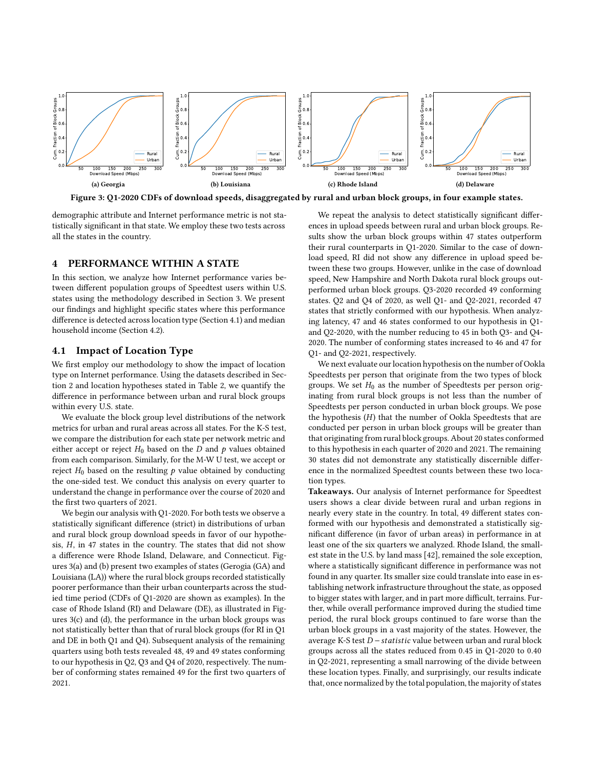<span id="page-4-1"></span>

Figure 3: Q1-2020 CDFs of download speeds, disaggregated by rural and urban block groups, in four example states.

demographic attribute and Internet performance metric is not statistically significant in that state. We employ these two tests across all the states in the country.

### <span id="page-4-2"></span>4 PERFORMANCE WITHIN A STATE

In this section, we analyze how Internet performance varies between different population groups of Speedtest users within U.S. states using the methodology described in Section [3.](#page-3-2) We present our findings and highlight specific states where this performance difference is detected across location type (Section [4.1\)](#page-4-0) and median household income (Section [4.2\)](#page-5-0).

## <span id="page-4-0"></span>4.1 Impact of Location Type

We first employ our methodology to show the impact of location type on Internet performance. Using the datasets described in Section [2](#page-1-0) and location hypotheses stated in Table [2,](#page-3-1) we quantify the difference in performance between urban and rural block groups within every U.S. state.

We evaluate the block group level distributions of the network metrics for urban and rural areas across all states. For the K-S test, we compare the distribution for each state per network metric and either accept or reject  $H_0$  based on the D and  $p$  values obtained from each comparison. Similarly, for the M-W U test, we accept or reject  $H_0$  based on the resulting  $p$  value obtained by conducting the one-sided test. We conduct this analysis on every quarter to understand the change in performance over the course of 2020 and the first two quarters of 2021.

We begin our analysis with Q1-2020. For both tests we observe a statistically significant difference (strict) in distributions of urban and rural block group download speeds in favor of our hypothesis,  $H$ , in 47 states in the country. The states that did not show a difference were Rhode Island, Delaware, and Connecticut. Figures [3\(](#page-4-1)a) and (b) present two examples of states (Gerogia (GA) and Louisiana (LA)) where the rural block groups recorded statistically poorer performance than their urban counterparts across the studied time period (CDFs of Q1-2020 are shown as examples). In the case of Rhode Island (RI) and Delaware (DE), as illustrated in Figures [3\(](#page-4-1)c) and (d), the performance in the urban block groups was not statistically better than that of rural block groups (for RI in Q1 and DE in both Q1 and Q4). Subsequent analysis of the remaining quarters using both tests revealed 48, 49 and 49 states conforming to our hypothesis in Q2, Q3 and Q4 of 2020, respectively. The number of conforming states remained 49 for the first two quarters of 2021.

We repeat the analysis to detect statistically significant differences in upload speeds between rural and urban block groups. Results show the urban block groups within 47 states outperform their rural counterparts in Q1-2020. Similar to the case of download speed, RI did not show any difference in upload speed between these two groups. However, unlike in the case of download speed, New Hampshire and North Dakota rural block groups outperformed urban block groups. Q3-2020 recorded 49 conforming states. Q2 and Q4 of 2020, as well Q1- and Q2-2021, recorded 47 states that strictly conformed with our hypothesis. When analyzing latency, 47 and 46 states conformed to our hypothesis in Q1 and Q2-2020, with the number reducing to 45 in both Q3- and Q4- 2020. The number of conforming states increased to 46 and 47 for Q1- and Q2-2021, respectively.

We next evaluate our location hypothesis on the number of Ookla Speedtests per person that originate from the two types of block groups. We set  $H_0$  as the number of Speedtests per person originating from rural block groups is not less than the number of Speedtests per person conducted in urban block groups. We pose the hypothesis  $(H)$  that the number of Ookla Speedtests that are conducted per person in urban block groups will be greater than that originating from rural block groups. About 20 states conformed to this hypothesis in each quarter of 2020 and 2021. The remaining 30 states did not demonstrate any statistically discernible difference in the normalized Speedtest counts between these two location types.

Takeaways. Our analysis of Internet performance for Speedtest users shows a clear divide between rural and urban regions in nearly every state in the country. In total, 49 different states conformed with our hypothesis and demonstrated a statistically significant difference (in favor of urban areas) in performance in at least one of the six quarters we analyzed. Rhode Island, the smallest state in the U.S. by land mass [\[42\]](#page-8-32), remained the sole exception, where a statistically significant difference in performance was not found in any quarter. Its smaller size could translate into ease in establishing network infrastructure throughout the state, as opposed to bigger states with larger, and in part more difficult, terrains. Further, while overall performance improved during the studied time period, the rural block groups continued to fare worse than the urban block groups in a vast majority of the states. However, the average K-S test D − statistic value between urban and rural block groups across all the states reduced from 0.45 in Q1-2020 to 0.40 in Q2-2021, representing a small narrowing of the divide between these location types. Finally, and surprisingly, our results indicate that, once normalized by the total population, the majority of states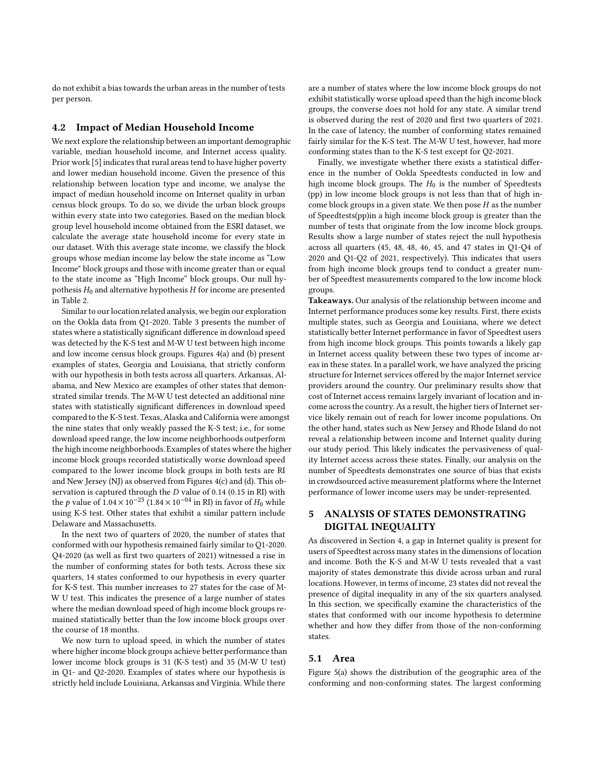do not exhibit a bias towards the urban areas in the number of tests per person.

## <span id="page-5-0"></span>4.2 Impact of Median Household Income

We next explore the relationship between an important demographic variable, median household income, and Internet access quality. Prior work [\[5\]](#page-8-33) indicates that rural areas tend to have higher poverty and lower median household income. Given the presence of this relationship between location type and income, we analyse the impact of median household income on Internet quality in urban census block groups. To do so, we divide the urban block groups within every state into two categories. Based on the median block group level household income obtained from the ESRI dataset, we calculate the average state household income for every state in our dataset. With this average state income, we classify the block groups whose median income lay below the state income as "Low Income" block groups and those with income greater than or equal to the state income as "High Income" block groups. Our null hypothesis  $H_0$  and alternative hypothesis  $H$  for income are presented in Table [2.](#page-3-1)

Similar to our location related analysis, we begin our exploration on the Ookla data from Q1-2020. Table [3](#page-6-0) presents the number of states where a statistically significant difference in download speed was detected by the K-S test and M-W U test between high income and low income census block groups. Figures [4\(](#page-6-1)a) and (b) present examples of states, Georgia and Louisiana, that strictly conform with our hypothesis in both tests across all quarters. Arkansas, Alabama, and New Mexico are examples of other states that demonstrated similar trends. The M-W U test detected an additional nine states with statistically significant differences in download speed compared to the K-S test. Texas, Alaska and California were amongst the nine states that only weakly passed the K-S test; i.e., for some download speed range, the low income neighborhoods outperform the high income neighborhoods. Examples of states where the higher income block groups recorded statistically worse download speed compared to the lower income block groups in both tests are RI and New Jersey (NJ) as observed from Figures [4\(](#page-6-1)c) and (d). This observation is captured through the  $D$  value of 0.14 (0.15 in RI) with the p value of  $1.04 \times 10^{-23}$  (1.84 × 10<sup>-04</sup> in RI) in favor of  $H_0$  while using K-S test. Other states that exhibit a similar pattern include Delaware and Massachusetts.

In the next two of quarters of 2020, the number of states that conformed with our hypothesis remained fairly similar to Q1-2020. Q4-2020 (as well as first two quarters of 2021) witnessed a rise in the number of conforming states for both tests. Across these six quarters, 14 states conformed to our hypothesis in every quarter for K-S test. This number increases to 27 states for the case of M-W U test. This indicates the presence of a large number of states where the median download speed of high income block groups remained statistically better than the low income block groups over the course of 18 months.

We now turn to upload speed, in which the number of states where higher income block groups achieve better performance than lower income block groups is 31 (K-S test) and 35 (M-W U test) in Q1- and Q2-2020. Examples of states where our hypothesis is strictly held include Louisiana, Arkansas and Virginia. While there

are a number of states where the low income block groups do not exhibit statistically worse upload speed than the high income block groups, the converse does not hold for any state. A similar trend is observed during the rest of 2020 and first two quarters of 2021. In the case of latency, the number of conforming states remained fairly similar for the K-S test. The M-W U test, however, had more conforming states than to the K-S test except for Q2-2021.

Finally, we investigate whether there exists a statistical difference in the number of Ookla Speedtests conducted in low and high income block groups. The  $H_0$  is the number of Speedtests (pp) in low income block groups is not less than that of high income block groups in a given state. We then pose  $H$  as the number of Speedtests(pp)in a high income block group is greater than the number of tests that originate from the low income block groups. Results show a large number of states reject the null hypothesis across all quarters (45, 48, 48, 46, 45, and 47 states in Q1-Q4 of 2020 and Q1-Q2 of 2021, respectively). This indicates that users from high income block groups tend to conduct a greater number of Speedtest measurements compared to the low income block groups.

Takeaways. Our analysis of the relationship between income and Internet performance produces some key results. First, there exists multiple states, such as Georgia and Louisiana, where we detect statistically better Internet performance in favor of Speedtest users from high income block groups. This points towards a likely gap in Internet access quality between these two types of income areas in these states. In a parallel work, we have analyzed the pricing structure for Internet services offered by the major Internet service providers around the country. Our preliminary results show that cost of Internet access remains largely invariant of location and income across the country. As a result, the higher tiers of Internet service likely remain out of reach for lower income populations. On the other hand, states such as New Jersey and Rhode Island do not reveal a relationship between income and Internet quality during our study period. This likely indicates the pervasiveness of quality Internet access across these states. Finally, our analysis on the number of Speedtests demonstrates one source of bias that exists in crowdsourced active measurement platforms where the Internet performance of lower income users may be under-represented.

## 5 ANALYSIS OF STATES DEMONSTRATING DIGITAL INEQUALITY

As discovered in Section [4,](#page-4-2) a gap in Internet quality is present for users of Speedtest across many states in the dimensions of location and income. Both the K-S and M-W U tests revealed that a vast majority of states demonstrate this divide across urban and rural locations. However, in terms of income, 23 states did not reveal the presence of digital inequality in any of the six quarters analysed. In this section, we specifically examine the characteristics of the states that conformed with our income hypothesis to determine whether and how they differ from those of the non-conforming states.

#### 5.1 Area

Figure [5\(](#page-7-0)a) shows the distribution of the geographic area of the conforming and non-conforming states. The largest conforming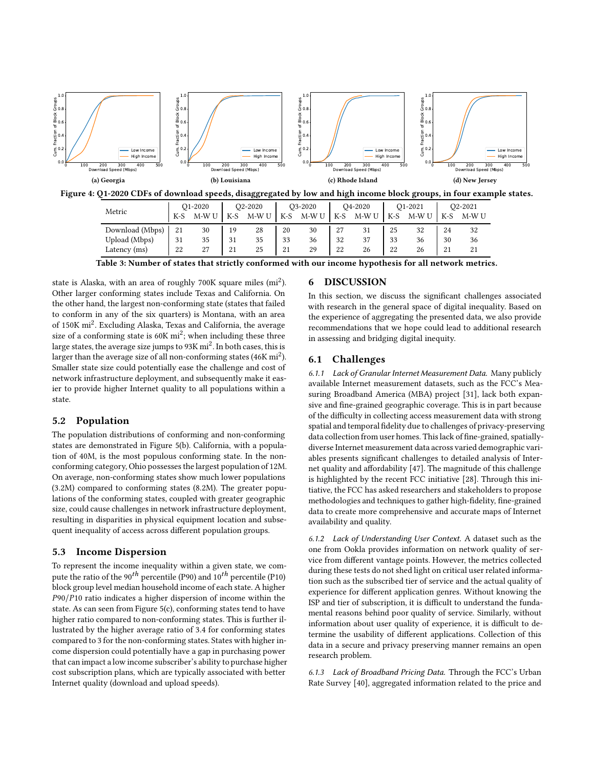<span id="page-6-1"></span>

<span id="page-6-0"></span>

| Download (Mbps) | 21           | 30            | 10                   | 28  | 20                     | 30 | oπ<br>∼       | ັ  | つに<br><u>. .</u>    | າາ      | 24 |    |  |
|-----------------|--------------|---------------|----------------------|-----|------------------------|----|---------------|----|---------------------|---------|----|----|--|
| Upload (Mbps)   | $\sim$<br>31 | $\Omega$<br>ັ | 31                   | ັ   | 22<br>ັ                | 36 | 32            | ັ  | 22<br>ັ             | 50      | 30 |    |  |
| 'msl<br>Latency | າາ<br>44     | $\sim$<br>∼   | n.<br>$\overline{a}$ | ر ے | $\Omega$<br><u> 41</u> | 2C | າາ<br>44<br>. | 40 | $\Omega$<br>∠∠<br>. | 40<br>. | 41 | -- |  |

Table 3: Number of states that strictly conformed with our income hypothesis for all network metrics.

state is Alaska, with an area of roughly 700K square miles (mi<sup>2</sup>). Other larger conforming states include Texas and California. On the other hand, the largest non-conforming state (states that failed to conform in any of the six quarters) is Montana, with an area of 150K mi<sup>2</sup>. Excluding Alaska, Texas and California, the average size of a conforming state is  $60K$  mi<sup>2</sup>; when including these three large states, the average size jumps to  $93K$   $mi^2$ . In both cases, this is larger than the average size of all non-conforming states (46K  $\mathrm{mi}^{2}$ ). Smaller state size could potentially ease the challenge and cost of network infrastructure deployment, and subsequently make it easier to provide higher Internet quality to all populations within a state.

## 5.2 Population

The population distributions of conforming and non-conforming states are demonstrated in Figure [5\(](#page-7-0)b). California, with a population of 40M, is the most populous conforming state. In the nonconforming category, Ohio possesses the largest population of 12M. On average, non-conforming states show much lower populations (3.2M) compared to conforming states (8.2M). The greater populations of the conforming states, coupled with greater geographic size, could cause challenges in network infrastructure deployment, resulting in disparities in physical equipment location and subsequent inequality of access across different population groups.

#### 5.3 Income Dispersion

To represent the income inequality within a given state, we compute the ratio of the  $90<sup>th</sup>$  percentile (P90) and  $10<sup>th</sup>$  percentile (P10) block group level median household income of each state. A higher P90/P10 ratio indicates a higher dispersion of income within the state. As can seen from Figure [5\(](#page-7-0)c), conforming states tend to have higher ratio compared to non-conforming states. This is further illustrated by the higher average ratio of 3.4 for conforming states compared to 3 for the non-conforming states. States with higher income dispersion could potentially have a gap in purchasing power that can impact a low income subscriber's ability to purchase higher cost subscription plans, which are typically associated with better Internet quality (download and upload speeds).

## 6 DISCUSSION

In this section, we discuss the significant challenges associated with research in the general space of digital inequality. Based on the experience of aggregating the presented data, we also provide recommendations that we hope could lead to additional research in assessing and bridging digital inequity.

## 6.1 Challenges

6.1.1 Lack of Granular Internet Measurement Data. Many publicly available Internet measurement datasets, such as the FCC's Measuring Broadband America (MBA) project [\[31\]](#page-8-34), lack both expansive and fine-grained geographic coverage. This is in part because of the difficulty in collecting access measurement data with strong spatial and temporal fidelity due to challenges of privacy-preserving data collection from user homes. This lack of fine-grained, spatiallydiverse Internet measurement data across varied demographic variables presents significant challenges to detailed analysis of Internet quality and affordability [\[47\]](#page-8-35). The magnitude of this challenge is highlighted by the recent FCC initiative [\[28](#page-8-36)]. Through this initiative, the FCC has asked researchers and stakeholders to propose methodologies and techniques to gather high-fidelity, fine-grained data to create more comprehensive and accurate maps of Internet availability and quality.

6.1.2 Lack of Understanding User Context. A dataset such as the one from Ookla provides information on network quality of service from different vantage points. However, the metrics collected during these tests do not shed light on critical user related information such as the subscribed tier of service and the actual quality of experience for different application genres. Without knowing the ISP and tier of subscription, it is difficult to understand the fundamental reasons behind poor quality of service. Similarly, without information about user quality of experience, it is difficult to determine the usability of different applications. Collection of this data in a secure and privacy preserving manner remains an open research problem.

6.1.3 Lack of Broadband Pricing Data. Through the FCC's Urban Rate Survey [\[40](#page-8-37)], aggregated information related to the price and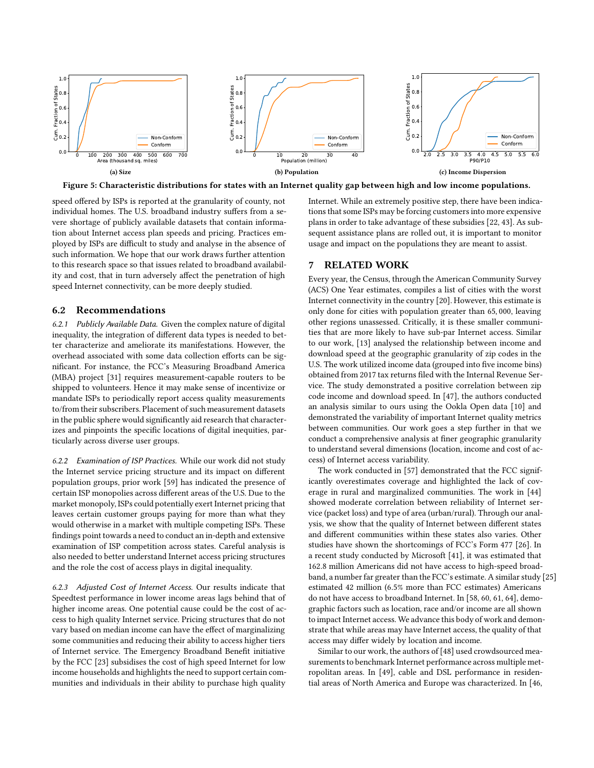<span id="page-7-0"></span>

Figure 5: Characteristic distributions for states with an Internet quality gap between high and low income populations.

speed offered by ISPs is reported at the granularity of county, not individual homes. The U.S. broadband industry suffers from a severe shortage of publicly available datasets that contain information about Internet access plan speeds and pricing. Practices employed by ISPs are difficult to study and analyse in the absence of such information. We hope that our work draws further attention to this research space so that issues related to broadband availability and cost, that in turn adversely affect the penetration of high speed Internet connectivity, can be more deeply studied.

## 6.2 Recommendations

6.2.1 Publicly Available Data. Given the complex nature of digital inequality, the integration of different data types is needed to better characterize and ameliorate its manifestations. However, the overhead associated with some data collection efforts can be significant. For instance, the FCC's Measuring Broadband America (MBA) project [\[31\]](#page-8-34) requires measurement-capable routers to be shipped to volunteers. Hence it may make sense of incentivize or mandate ISPs to periodically report access quality measurements to/from their subscribers. Placement of such measurement datasets in the public sphere would significantly aid research that characterizes and pinpoints the specific locations of digital inequities, particularly across diverse user groups.

6.2.2 Examination of ISP Practices. While our work did not study the Internet service pricing structure and its impact on different population groups, prior work [\[59](#page-9-5)] has indicated the presence of certain ISP monopolies across different areas of the U.S. Due to the market monopoly, ISPs could potentially exert Internet pricing that leaves certain customer groups paying for more than what they would otherwise in a market with multiple competing ISPs. These findings point towards a need to conduct an in-depth and extensive examination of ISP competition across states. Careful analysis is also needed to better understand Internet access pricing structures and the role the cost of access plays in digital inequality.

6.2.3 Adjusted Cost of Internet Access. Our results indicate that Speedtest performance in lower income areas lags behind that of higher income areas. One potential cause could be the cost of access to high quality Internet service. Pricing structures that do not vary based on median income can have the effect of marginalizing some communities and reducing their ability to access higher tiers of Internet service. The Emergency Broadband Benefit initiative by the FCC [\[23\]](#page-8-38) subsidises the cost of high speed Internet for low income households and highlights the need to support certain communities and individuals in their ability to purchase high quality

Internet. While an extremely positive step, there have been indications that some ISPs may be forcing customers into more expensive plans in order to take advantage of these subsidies [\[22](#page-8-39), [43](#page-8-40)]. As subsequent assistance plans are rolled out, it is important to monitor usage and impact on the populations they are meant to assist.

## 7 RELATED WORK

Every year, the Census, through the American Community Survey (ACS) One Year estimates, compiles a list of cities with the worst Internet connectivity in the country [\[20](#page-8-41)]. However, this estimate is only done for cities with population greater than 65, 000, leaving other regions unassessed. Critically, it is these smaller communities that are more likely to have sub-par Internet access. Similar to our work, [\[13](#page-8-42)] analysed the relationship between income and download speed at the geographic granularity of zip codes in the U.S. The work utilized income data (grouped into five income bins) obtained from 2017 tax returns filed with the Internal Revenue Service. The study demonstrated a positive correlation between zip code income and download speed. In [\[47](#page-8-35)], the authors conducted an analysis similar to ours using the Ookla Open data [\[10](#page-8-16)] and demonstrated the variability of important Internet quality metrics between communities. Our work goes a step further in that we conduct a comprehensive analysis at finer geographic granularity to understand several dimensions (location, income and cost of access) of Internet access variability.

The work conducted in [\[57\]](#page-9-0) demonstrated that the FCC significantly overestimates coverage and highlighted the lack of coverage in rural and marginalized communities. The work in [\[44\]](#page-8-43) showed moderate correlation between reliability of Internet service (packet loss) and type of area (urban/rural). Through our analysis, we show that the quality of Internet between different states and different communities within these states also varies. Other studies have shown the shortcomings of FCC's Form 477 [\[26\]](#page-8-8). In a recent study conducted by Microsoft [\[41\]](#page-8-1), it was estimated that 162.8 million Americans did not have access to high-speed broad-band, a number far greater than the FCC's estimate. A similar study [\[25\]](#page-8-44) estimated 42 million (6.5% more than FCC estimates) Americans do not have access to broadband Internet. In [\[58](#page-9-6), [60,](#page-9-7) [61,](#page-9-8) [64](#page-9-9)], demographic factors such as location, race and/or income are all shown to impact Internet access. We advance this body of work and demonstrate that while areas may have Internet access, the quality of that access may differ widely by location and income.

Similar to our work, the authors of [\[48](#page-9-1)] used crowdsourced measurements to benchmark Internet performance across multiple metropolitan areas. In [\[49](#page-9-10)], cable and DSL performance in residential areas of North America and Europe was characterized. In [\[46](#page-8-45),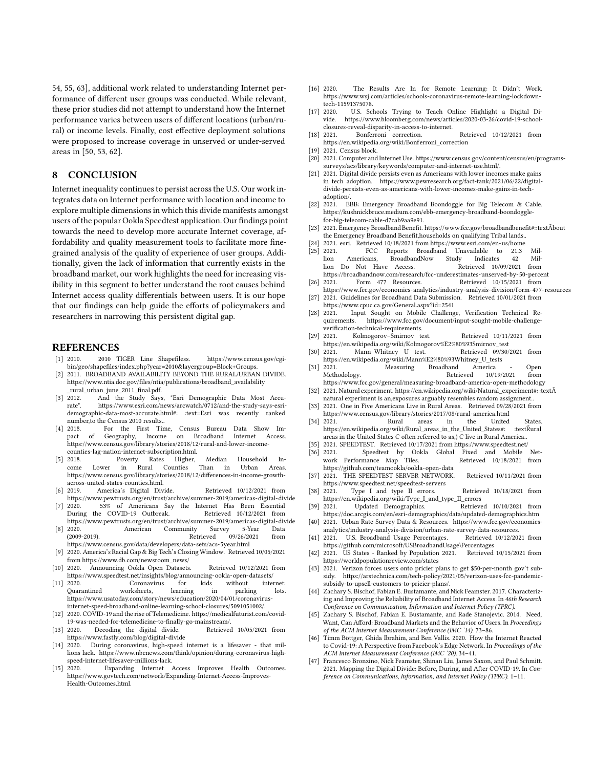[54](#page-9-11), [55,](#page-9-12) [63\]](#page-9-13), additional work related to understanding Internet performance of different user groups was conducted. While relevant, these prior studies did not attempt to understand how the Internet performance varies between users of different locations (urban/rural) or income levels. Finally, cost effective deployment solutions were proposed to increase coverage in unserved or under-served areas in [\[50](#page-9-14), [53,](#page-9-15) [62](#page-9-16)].

## 8 CONCLUSION

Internet inequality continues to persist across the U.S. Our work integrates data on Internet performance with location and income to explore multiple dimensions in which this divide manifests amongst users of the popular Ookla Speedtest application. Our findings point towards the need to develop more accurate Internet coverage, affordability and quality measurement tools to facilitate more finegrained analysis of the quality of experience of user groups. Additionally, given the lack of information that currently exists in the broadband market, our work highlights the need for increasing visibility in this segment to better understand the root causes behind Internet access quality differentials between users. It is our hope that our findings can help guide the efforts of policymakers and researchers in narrowing this persistent digital gap.

#### REFERENCES

- <span id="page-8-23"></span>[1] 2010. 2010 TIGER Line Shapefiless. https://www.census.gov/cgibin/geo/shapefiles/index.php?year=2010&layergroup=Block+Groups.
- <span id="page-8-12"></span>[2] 2011. BROADBAND AVAILABILITY BEYOND THE RURAL/URBAN DIVIDE. https://www.ntia.doc.gov/files/ntia/publications/broadband\_availability
- <span id="page-8-18"></span>\_rural\_urban\_june\_2011\_final.pdf.<br>[3] 2012. And the Study Savs 2012. And the Study Says, "Esri Demographic Data Most Accu-<br>rate". https://www.esri.com/news/arcwatch/0712/and-the-study-says-esrihttps://www.esri.com/news/arcwatch/0712/and-the-study-says-esridemographic-data-most-accurate.html#: :text=Esri was recently ranked number, to the Census 2010 results..<br>[4] 2018. For the First Tin
- <span id="page-8-13"></span>2018. For the First Time, Census Bureau Data Show Im-<br>pact of Geography, Income on Broadband Internet Access. of Geography, Income on Broadband Internet Access. https://www.census.gov/library/stories/2018/12/rural-and-lower-incomecounties-lag-nation-internet-subscription.html.
- <span id="page-8-33"></span>[5] 2018. Poverty Rates Higher, Median Household Income Lower in Rural Counties Than in Urban Areas. https://www.census.gov/library/stories/2018/12/differences-in-income-growthacross-united-states-counties.html.<br>[6] 2019. America's Digital Divi
- <span id="page-8-0"></span>America's Digital Divide. Retrieved 10/12/2021 from <https://www.pewtrusts.org/en/trust/archive/summer-2019/americas-digital-divide>
- <span id="page-8-2"></span>[7] 2020. 53% of Americans Say the Internet Has Been Essential During the COVID-19 Outbreak. Retrieved 10/12/2021 from <https://www.pewtrusts.org/en/trust/archive/summer-2019/americas-digital-divide>
- <span id="page-8-19"></span>[8] 2020. American Community Survey 5-Year Data Retrieved 09/26/2021 from
- <span id="page-8-3"></span><https://www.census.gov/data/developers/data-sets/acs-5year.html> [9] 2020. America's Racial Gap & Big Tech's Closing Window. Retrieved 10/05/2021 from [https://www.db.com/newsroom\\_news/](https://www.db.com/newsroom_news/)
- <span id="page-8-16"></span>[10] 2020. Announcing Ookla Open Datasets. Retrieved 10/12/2021 from <https://www.speedtest.net/insights/blog/announcing-ookla-open-datasets/>
- <span id="page-8-4"></span>Coronavirus for kids without internet:<br>worksheets, learning in parking lots. Quarantined worksheets, learning in https://www.usatoday.com/story/news/education/2020/04/01/coronavirusinternet-speed-broadband-online-learning-school-closures/5091051002/.
- <span id="page-8-5"></span>[12] 2020. COVID-19 and the rise of Telemedicine. https://medicalfuturist.com/covid-19-was-needed-for-telemedicine-to-finally-go-mainstream/.
- <span id="page-8-42"></span>Decoding the digital divide. <https://www.fastly.com/blog/digital-divide><br>[14] 2020. During coronavirus. high-speed
- <span id="page-8-6"></span>During coronavirus, high-speed internet is a lifesaver - that millions lack. https://www.nbcnews.com/think/opinion/during-coronavirus-highspeed-internet-lifesaver-millions-lack.<br>[15] 2020. Expanding Internet
- Expanding Internet Access Improves Health Outcomes. https://www.govtech.com/network/Expanding-Internet-Access-Improves-Health-Outcomes.html.
- <span id="page-8-20"></span>[16] 2020. The Results Are In for Remote Learning: It Didn't Work. https://www.wsj.com/articles/schools-coronavirus-remote-learning-lockdowntech-11591375078.
- <span id="page-8-7"></span>[17] 2020. U.S. Schools Trying to Teach Online Highlight a Digital Dihttps://www.bloomberg.com/news/articles/2020-03-26/covid-19-schoolclosures-reveal-disparity-in-access-to-internet.
- <span id="page-8-31"></span>[18] 2021. Bonferroni correction. Retrieved 10/12/2021 from [https://en.wikipedia.org/wiki/Bonferroni\\_correction](https://en.wikipedia.org/wiki/Bonferroni_correction)
- <span id="page-8-22"></span>[19] 2021. Census block.<br>[20] 2021. Computer and
- <span id="page-8-41"></span>2021. Computer and Internet Use. https://www.census.gov/content/census/en/programssurveys/acs/library/keywords/computer-and-internet-use.html/.
- <span id="page-8-14"></span>[21] 2021. Digital divide persists even as Americans with lower incomes make gains in tech adoption. https://www.pewresearch.org/fact-tank/2021/06/22/digitaldivide-persists-even-as-americans-with-lower-incomes-make-gains-in-techadoption/.
- <span id="page-8-39"></span>[22] 2021. EBB: Emergency Broadband Boondoggle for Big Telecom & Cable. https://kushnickbruce.medium.com/ebb-emergency-broadband-boondogglefor-big-telecom-cable-d7cab9aa9e91.
- <span id="page-8-38"></span>[23] 2021. Emergency Broadband Benefit. https://www.fcc.gov/broadbandbenefit#::textAbout ¯ the Emergency Broadband Benefit,households on qualifying Tribal lands..
- <span id="page-8-21"></span>[24] 2021. esri. Retrieved 10/18/2021 from<https://www.esri.com/en-us/home>
- <span id="page-8-44"></span>[25] 2021. FCC Reports Broadband Unavailable to 21.3 Mil-Americans, BroadbandNow Study Indicates 42 Mil-<br>o Not Have Access. Retrieved 10/09/2021 from lion Do Not Have Access. <https://broadbandnow.com/research/fcc-underestimates-unserved-by-50-percent>
- <span id="page-8-8"></span>[26] 2021. Form 477 Resources. Retrieved 10/15/2021 from <https://www.fcc.gov/economics-analytics/industry-analysis-division/form-477-resources>
- <span id="page-8-9"></span>[27] 2021. Guidelines for Broadband Data Submission. Retrieved 10/01/2021 from <https://www.cpuc.ca.gov/General.aspx?id=2541><br>2021 Input Sought on Mobile Challeng
- <span id="page-8-36"></span>[28] 2021. Input Sought on Mobile Challenge, Verification Technical Requirements. https://www.fcc.gov/document/input-sought-mobile-challengeverification-technical-requirements.
- <span id="page-8-28"></span>[29] 2021. Kolmogorov–Smirnov test. Retrieved 10/11/2021 from [https://en.wikipedia.org/wiki/Kolmogorov%E2%80%93Smirnov\\_test](https://en.wikipedia.org/wiki/Kolmogorov%E2%80%93Smirnov_test)
- <span id="page-8-29"></span>[30] 2021. Mann–Whitney U test. Retrieved 09/30/2021 from [https://en.wikipedia.org/wiki/Mann%E2%80%93Whitney\\_U\\_tests](https://en.wikipedia.org/wiki/Mann%E2%80%93Whitney_U_tests) [31] 2021. Measuring Broadband America - Open
- <span id="page-8-34"></span>Methodology. Retrieved 10/19/2021 from <https://www.fcc.gov/general/measuring-broadband-america-open-methodology>
- <span id="page-8-27"></span>[32] 2021. Natural experiment. https://en.wikipedia.org/wiki/Natural\_experiment#: :textA¯ natural experiment is an,exposures arguably resembles random assignment..
- <span id="page-8-24"></span>[33] 2021. One in Five Americans Live in Rural Areas. Retrieved 09/28/2021 from
- <span id="page-8-25"></span><https://www.census.gov/library/stories/2017/08/rural-america.html> [34] 2021. Rural areas in the United States. https://en.wikipedia.org/wiki/Rural\_areas\_in\_the\_United\_States#: :textRural areas in the United States C often referred to as,) C live in Rural America..
- <span id="page-8-17"></span><span id="page-8-10"></span>[35] 2021. SPEEDTEST. Retrieved 10/17/2021 from<https://www.speedtest.net/>  $\begin{bmatrix} 36 \end{bmatrix}$  2021. Speedtest by Ookla Global work Performance Map Tiles. work Performance Map Tiles. Retrieved  $10/18/2021$  from <https://github.com/teamookla/ookla-open-data>
- <span id="page-8-15"></span>[37] 2021. THE SPEEDTEST SERVER NETWORK. Retrieved 10/11/2021 from <https://www.speedtest.net/speedtest-servers>
- <span id="page-8-30"></span>[38] 2021. Type I and type II errors. Retrieved 10/18/2021 from
- <span id="page-8-11"></span>[https://en.wikipedia.org/wiki/Type\\_I\\_and\\_type\\_II\\_errors](https://en.wikipedia.org/wiki/Type_I_and_type_II_errors)<br>2021. Updated Demographics. Retrieved 10/10/2021 from [39] 2021. Updated Demographics. <https://doc.arcgis.com/en/esri-demographics/data/updated-demographics.htm>
- <span id="page-8-37"></span>[40] 2021. Urban Rate Survey Data & Resources. https://www.fcc.gov/economicsanalytics/industry-analysis-division/urban-rate-survey-data-resources.
- <span id="page-8-1"></span>[41] 2021. U.S. Broadband Usage Percentages. <https://github.com/microsoft/USBroadbandUsage\Percentages>
- <span id="page-8-32"></span> $[42]$  2021. US States - Ranked by Population 2021. <https://worldpopulationreview.com/states>
- <span id="page-8-40"></span>[43] 2021. Verizon forces users onto pricier plans to get \$50-per-month gov't subsidy. https://arstechnica.com/tech-policy/2021/05/verizon-uses-fcc-pandemicsubsidy-to-upsell-customers-to-pricier-plans/.
- <span id="page-8-43"></span>[44] Zachary S. Bischof, Fabian E. Bustamante, and Nick Feamster. 2017. Characterizing and Improving the Reliability of Broadband Internet Access. In 46th Research Conference on Communication, Information and Internet Policy (TPRC).
- <span id="page-8-26"></span>[45] Zachary S. Bischof, Fabian E. Bustamante, and Rade Stanojevic. 2014. Need, Want, Can Afford: Broadband Markets and the Behavior of Users. In Proceedings of the ACM Internet Measurement Conference (IMC '14). 73–86.
- <span id="page-8-45"></span>[46] Timm Böttger, Ghida Ibrahim, and Ben Vallis. 2020. How the Internet Reacted to Covid-19: A Perspective from Facebook's Edge Network. In Proceedings of the ACM Internet Measurement Conference (IMC '20). 34–41.
- <span id="page-8-35"></span>[47] Francesco Bronzino, Nick Feamster, Shinan Liu, James Saxon, and Paul Schmitt. 2021. Mapping the Digital Divide: Before, During, and After COVID-19. In Conference on Communications, Information, and Internet Policy (TPRC). 1–11.